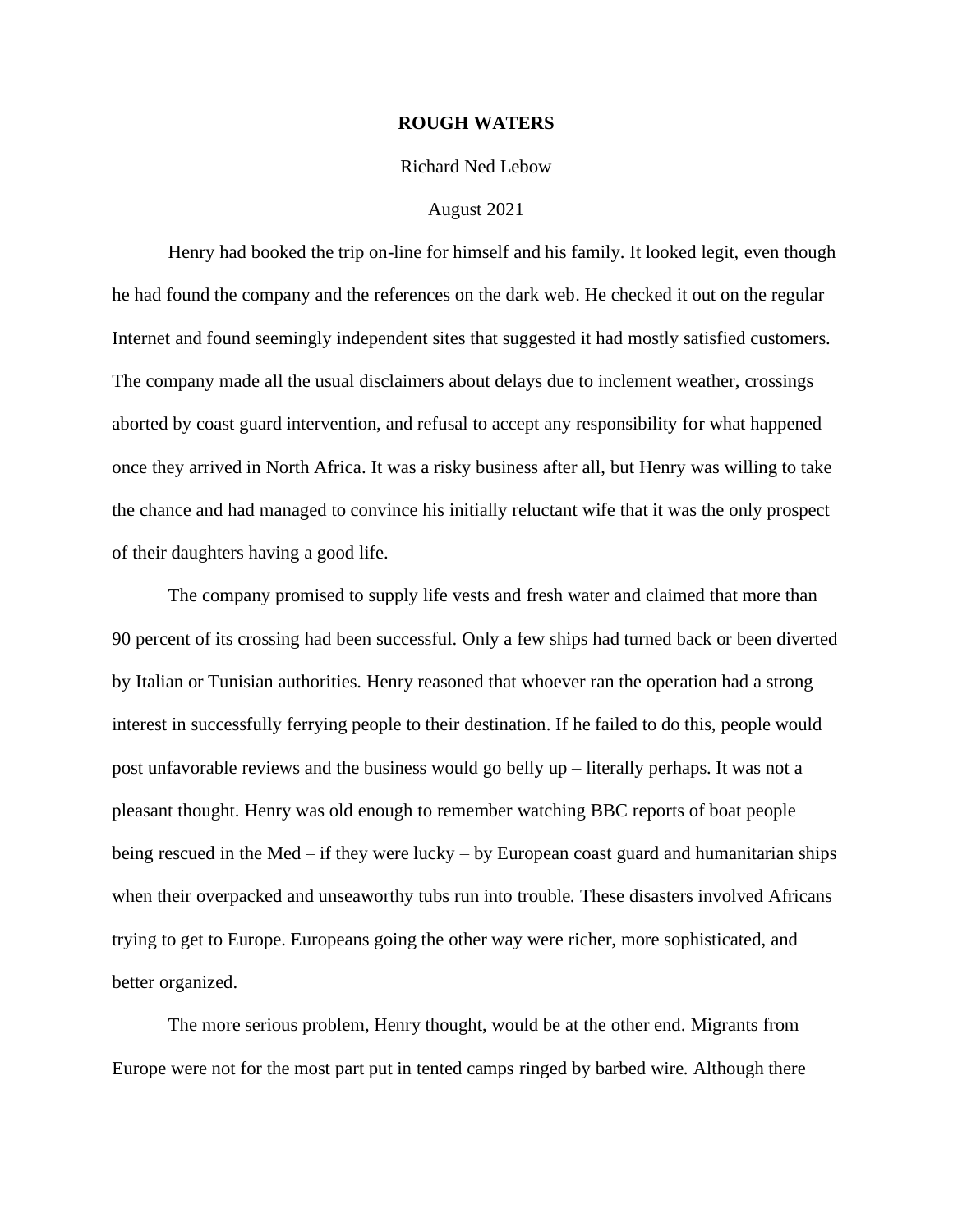## **ROUGH WATERS**

## Richard Ned Lebow

## August 2021

Henry had booked the trip on-line for himself and his family. It looked legit, even though he had found the company and the references on the dark web. He checked it out on the regular Internet and found seemingly independent sites that suggested it had mostly satisfied customers. The company made all the usual disclaimers about delays due to inclement weather, crossings aborted by coast guard intervention, and refusal to accept any responsibility for what happened once they arrived in North Africa. It was a risky business after all, but Henry was willing to take the chance and had managed to convince his initially reluctant wife that it was the only prospect of their daughters having a good life.

The company promised to supply life vests and fresh water and claimed that more than 90 percent of its crossing had been successful. Only a few ships had turned back or been diverted by Italian or Tunisian authorities. Henry reasoned that whoever ran the operation had a strong interest in successfully ferrying people to their destination. If he failed to do this, people would post unfavorable reviews and the business would go belly up – literally perhaps. It was not a pleasant thought. Henry was old enough to remember watching BBC reports of boat people being rescued in the Med – if they were lucky – by European coast guard and humanitarian ships when their overpacked and unseaworthy tubs run into trouble. These disasters involved Africans trying to get to Europe. Europeans going the other way were richer, more sophisticated, and better organized.

The more serious problem, Henry thought, would be at the other end. Migrants from Europe were not for the most part put in tented camps ringed by barbed wire. Although there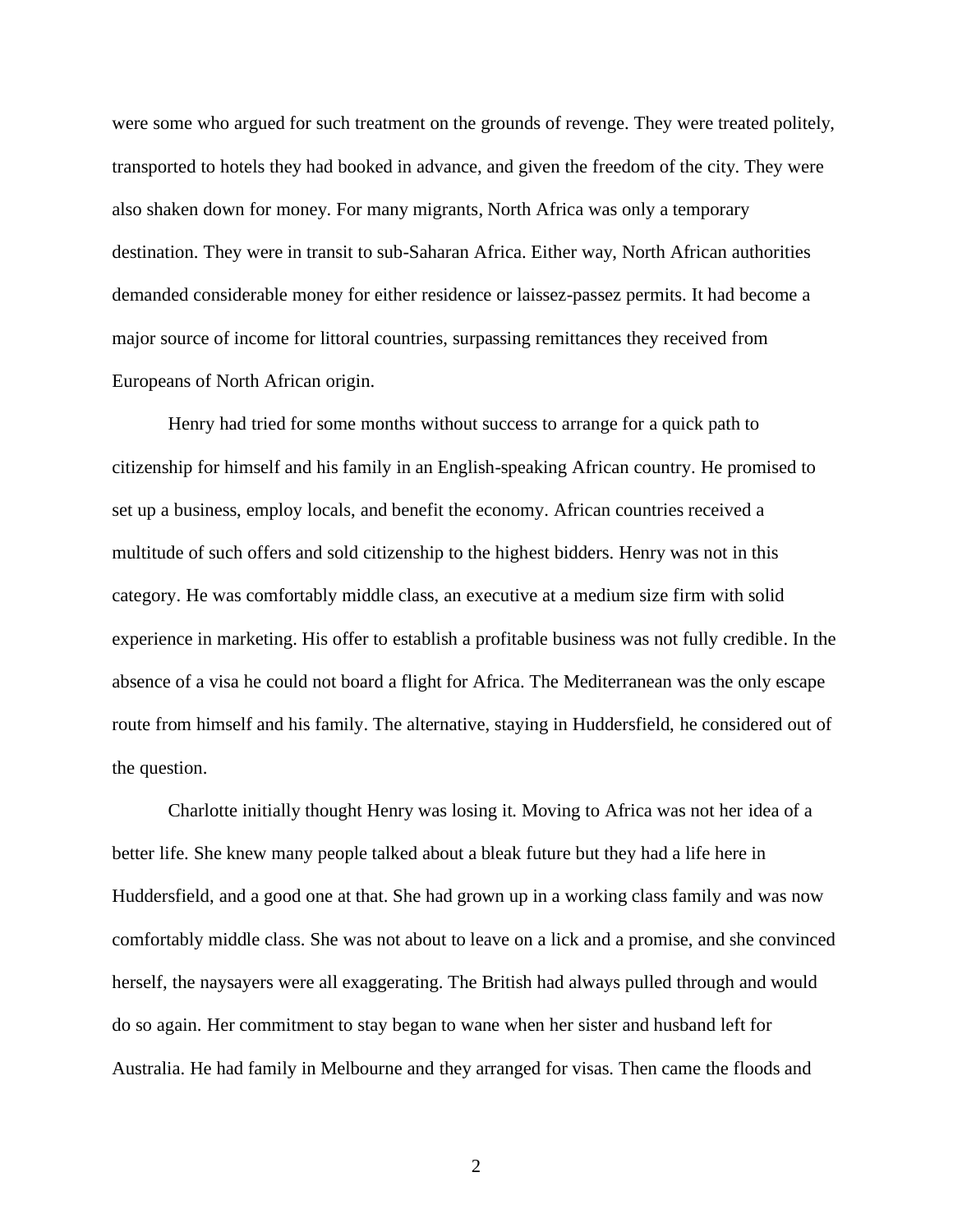were some who argued for such treatment on the grounds of revenge. They were treated politely, transported to hotels they had booked in advance, and given the freedom of the city. They were also shaken down for money. For many migrants, North Africa was only a temporary destination. They were in transit to sub-Saharan Africa. Either way, North African authorities demanded considerable money for either residence or laissez-passez permits. It had become a major source of income for littoral countries, surpassing remittances they received from Europeans of North African origin.

Henry had tried for some months without success to arrange for a quick path to citizenship for himself and his family in an English-speaking African country. He promised to set up a business, employ locals, and benefit the economy. African countries received a multitude of such offers and sold citizenship to the highest bidders. Henry was not in this category. He was comfortably middle class, an executive at a medium size firm with solid experience in marketing. His offer to establish a profitable business was not fully credible. In the absence of a visa he could not board a flight for Africa. The Mediterranean was the only escape route from himself and his family. The alternative, staying in Huddersfield, he considered out of the question.

Charlotte initially thought Henry was losing it. Moving to Africa was not her idea of a better life. She knew many people talked about a bleak future but they had a life here in Huddersfield, and a good one at that. She had grown up in a working class family and was now comfortably middle class. She was not about to leave on a lick and a promise, and she convinced herself, the naysayers were all exaggerating. The British had always pulled through and would do so again. Her commitment to stay began to wane when her sister and husband left for Australia. He had family in Melbourne and they arranged for visas. Then came the floods and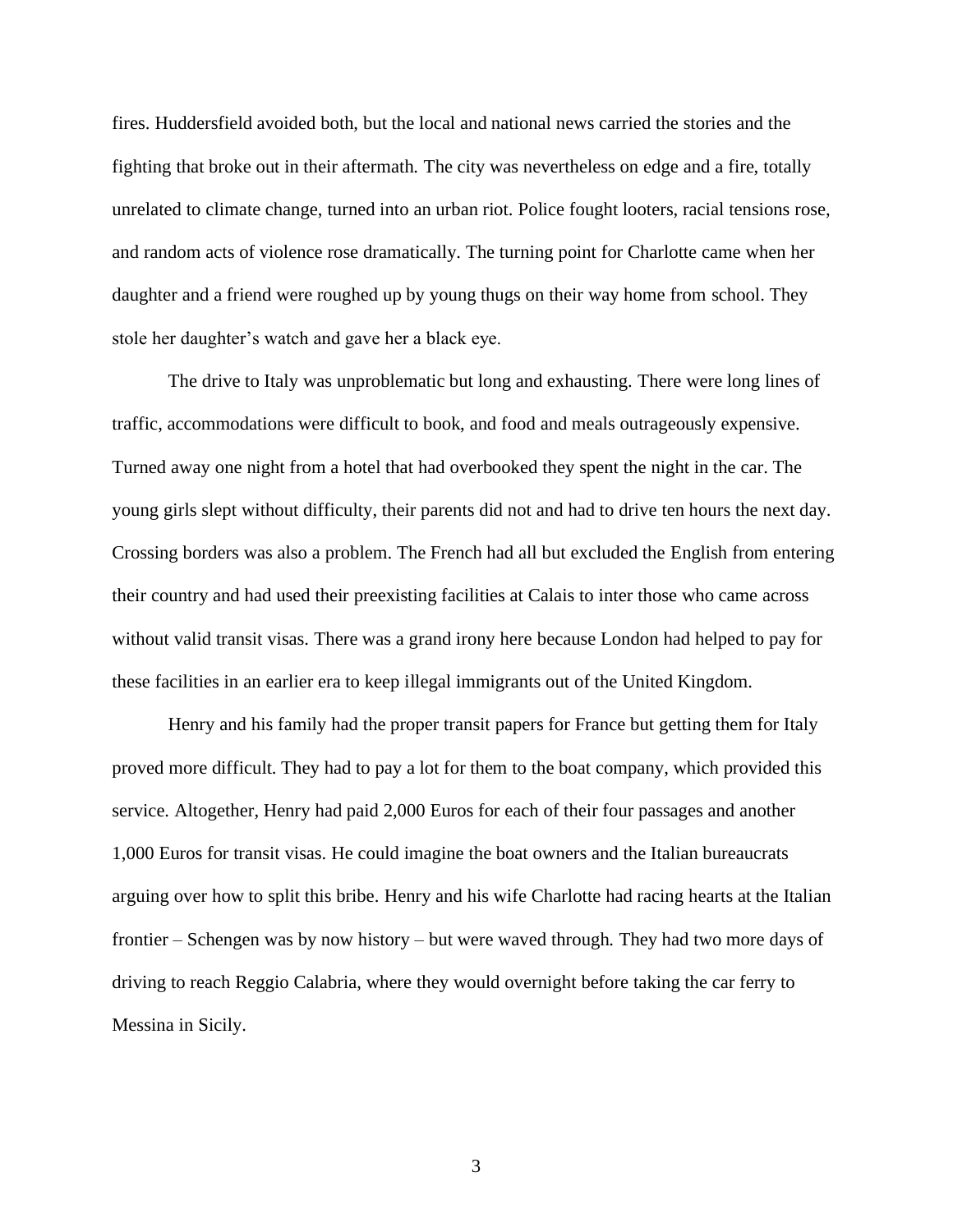fires. Huddersfield avoided both, but the local and national news carried the stories and the fighting that broke out in their aftermath. The city was nevertheless on edge and a fire, totally unrelated to climate change, turned into an urban riot. Police fought looters, racial tensions rose, and random acts of violence rose dramatically. The turning point for Charlotte came when her daughter and a friend were roughed up by young thugs on their way home from school. They stole her daughter's watch and gave her a black eye.

The drive to Italy was unproblematic but long and exhausting. There were long lines of traffic, accommodations were difficult to book, and food and meals outrageously expensive. Turned away one night from a hotel that had overbooked they spent the night in the car. The young girls slept without difficulty, their parents did not and had to drive ten hours the next day. Crossing borders was also a problem. The French had all but excluded the English from entering their country and had used their preexisting facilities at Calais to inter those who came across without valid transit visas. There was a grand irony here because London had helped to pay for these facilities in an earlier era to keep illegal immigrants out of the United Kingdom.

Henry and his family had the proper transit papers for France but getting them for Italy proved more difficult. They had to pay a lot for them to the boat company, which provided this service. Altogether, Henry had paid 2,000 Euros for each of their four passages and another 1,000 Euros for transit visas. He could imagine the boat owners and the Italian bureaucrats arguing over how to split this bribe. Henry and his wife Charlotte had racing hearts at the Italian frontier – Schengen was by now history – but were waved through. They had two more days of driving to reach Reggio Calabria, where they would overnight before taking the car ferry to Messina in Sicily.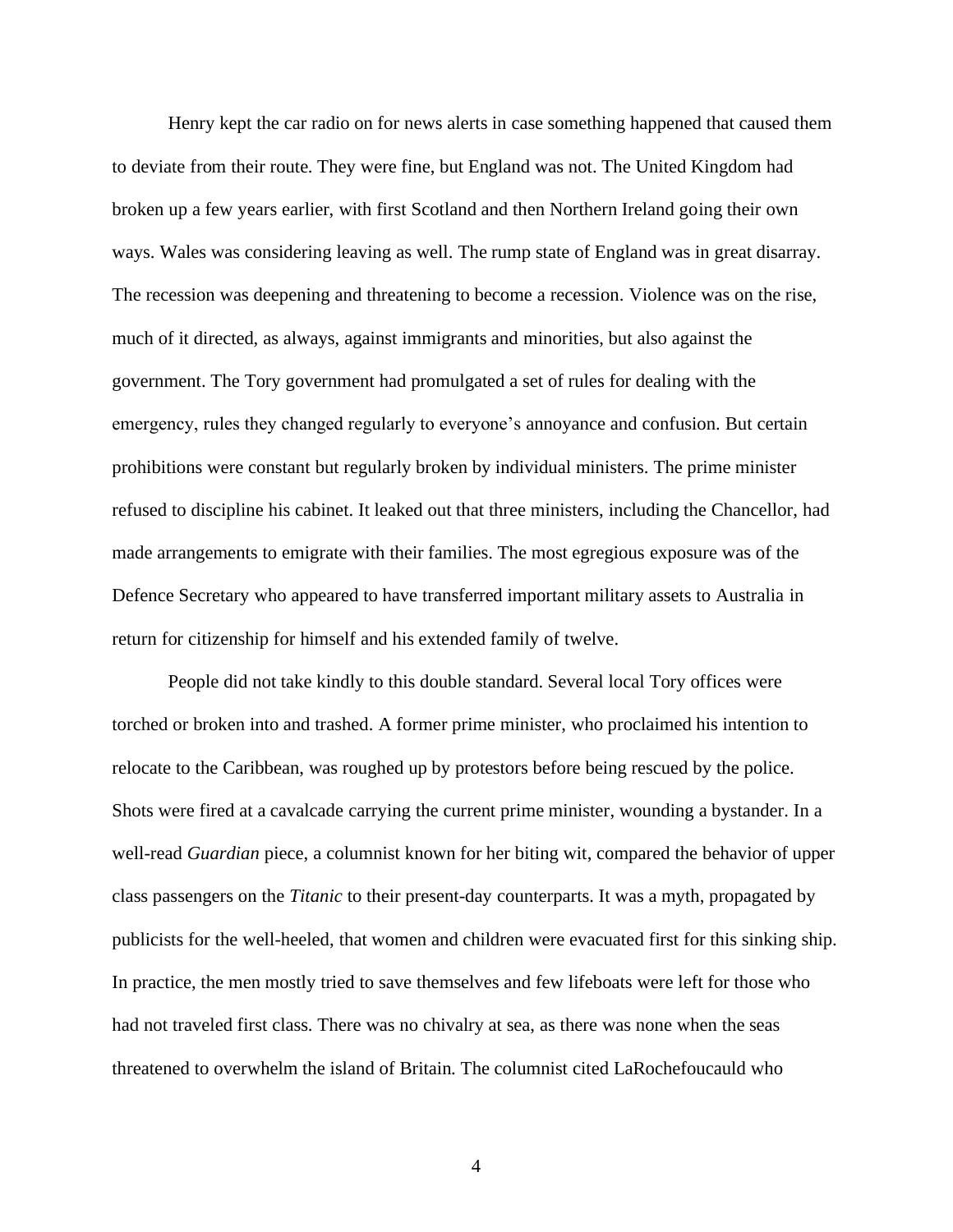Henry kept the car radio on for news alerts in case something happened that caused them to deviate from their route. They were fine, but England was not. The United Kingdom had broken up a few years earlier, with first Scotland and then Northern Ireland going their own ways. Wales was considering leaving as well. The rump state of England was in great disarray. The recession was deepening and threatening to become a recession. Violence was on the rise, much of it directed, as always, against immigrants and minorities, but also against the government. The Tory government had promulgated a set of rules for dealing with the emergency, rules they changed regularly to everyone's annoyance and confusion. But certain prohibitions were constant but regularly broken by individual ministers. The prime minister refused to discipline his cabinet. It leaked out that three ministers, including the Chancellor, had made arrangements to emigrate with their families. The most egregious exposure was of the Defence Secretary who appeared to have transferred important military assets to Australia in return for citizenship for himself and his extended family of twelve.

People did not take kindly to this double standard. Several local Tory offices were torched or broken into and trashed. A former prime minister, who proclaimed his intention to relocate to the Caribbean, was roughed up by protestors before being rescued by the police. Shots were fired at a cavalcade carrying the current prime minister, wounding a bystander. In a well-read *Guardian* piece, a columnist known for her biting wit, compared the behavior of upper class passengers on the *Titanic* to their present-day counterparts. It was a myth, propagated by publicists for the well-heeled, that women and children were evacuated first for this sinking ship. In practice, the men mostly tried to save themselves and few lifeboats were left for those who had not traveled first class. There was no chivalry at sea, as there was none when the seas threatened to overwhelm the island of Britain. The columnist cited LaRochefoucauld who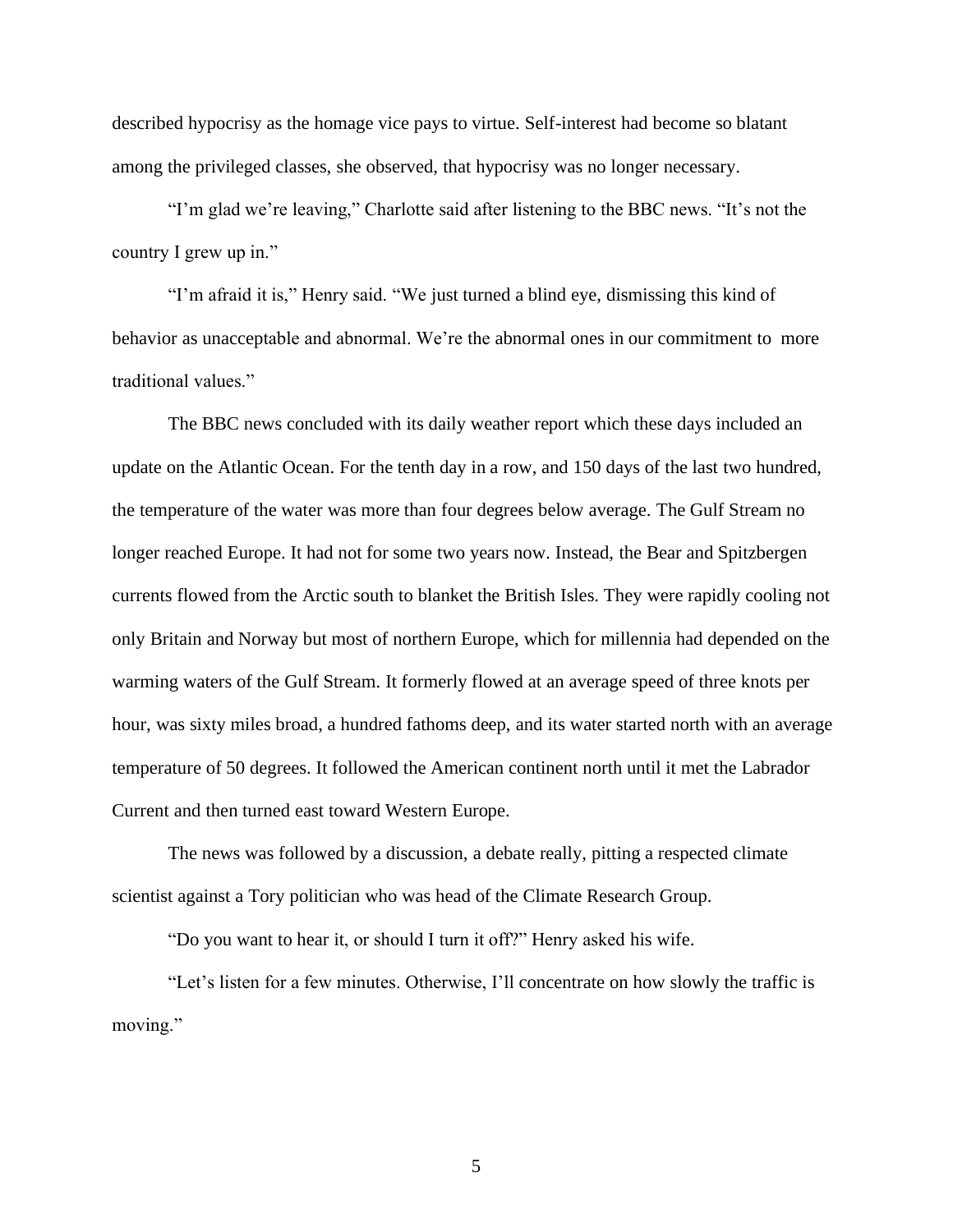described hypocrisy as the homage vice pays to virtue. Self-interest had become so blatant among the privileged classes, she observed, that hypocrisy was no longer necessary.

"I'm glad we're leaving," Charlotte said after listening to the BBC news. "It's not the country I grew up in."

"I'm afraid it is," Henry said. "We just turned a blind eye, dismissing this kind of behavior as unacceptable and abnormal. We're the abnormal ones in our commitment to more traditional values."

The BBC news concluded with its daily weather report which these days included an update on the Atlantic Ocean. For the tenth day in a row, and 150 days of the last two hundred, the temperature of the water was more than four degrees below average. The Gulf Stream no longer reached Europe. It had not for some two years now. Instead, the Bear and Spitzbergen currents flowed from the Arctic south to blanket the British Isles. They were rapidly cooling not only Britain and Norway but most of northern Europe, which for millennia had depended on the warming waters of the Gulf Stream. It formerly flowed at an average speed of three knots per hour, was sixty miles broad, a hundred fathoms deep, and its water started north with an average temperature of 50 degrees. It followed the American continent north until it met the Labrador Current and then turned east toward Western Europe.

The news was followed by a discussion, a debate really, pitting a respected climate scientist against a Tory politician who was head of the Climate Research Group.

"Do you want to hear it, or should I turn it off?" Henry asked his wife.

"Let's listen for a few minutes. Otherwise, I'll concentrate on how slowly the traffic is moving."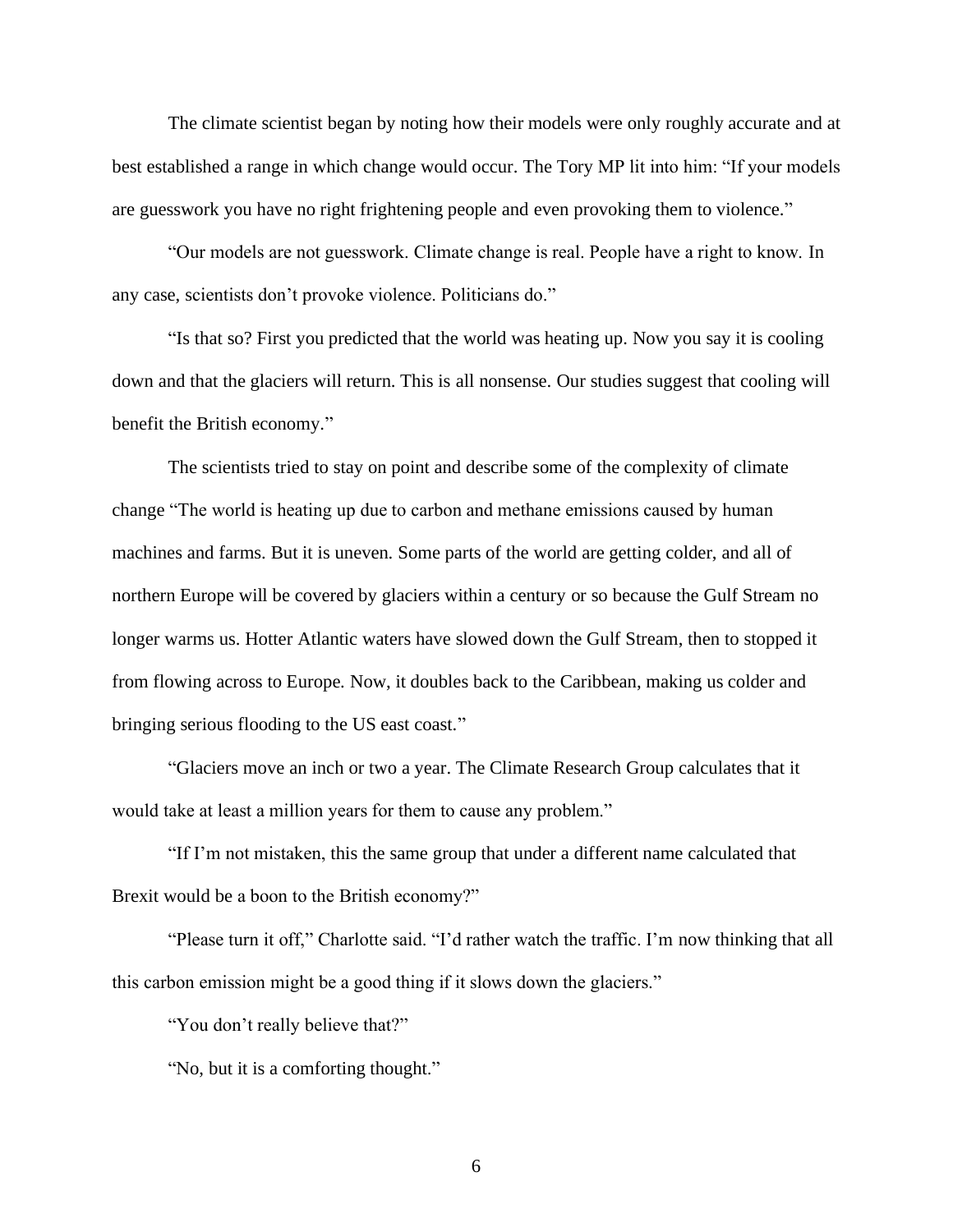The climate scientist began by noting how their models were only roughly accurate and at best established a range in which change would occur. The Tory MP lit into him: "If your models are guesswork you have no right frightening people and even provoking them to violence."

"Our models are not guesswork. Climate change is real. People have a right to know. In any case, scientists don't provoke violence. Politicians do."

"Is that so? First you predicted that the world was heating up. Now you say it is cooling down and that the glaciers will return. This is all nonsense. Our studies suggest that cooling will benefit the British economy."

The scientists tried to stay on point and describe some of the complexity of climate change "The world is heating up due to carbon and methane emissions caused by human machines and farms. But it is uneven. Some parts of the world are getting colder, and all of northern Europe will be covered by glaciers within a century or so because the Gulf Stream no longer warms us. Hotter Atlantic waters have slowed down the Gulf Stream, then to stopped it from flowing across to Europe. Now, it doubles back to the Caribbean, making us colder and bringing serious flooding to the US east coast."

"Glaciers move an inch or two a year. The Climate Research Group calculates that it would take at least a million years for them to cause any problem."

"If I'm not mistaken, this the same group that under a different name calculated that Brexit would be a boon to the British economy?"

"Please turn it off," Charlotte said. "I'd rather watch the traffic. I'm now thinking that all this carbon emission might be a good thing if it slows down the glaciers."

"You don't really believe that?"

"No, but it is a comforting thought."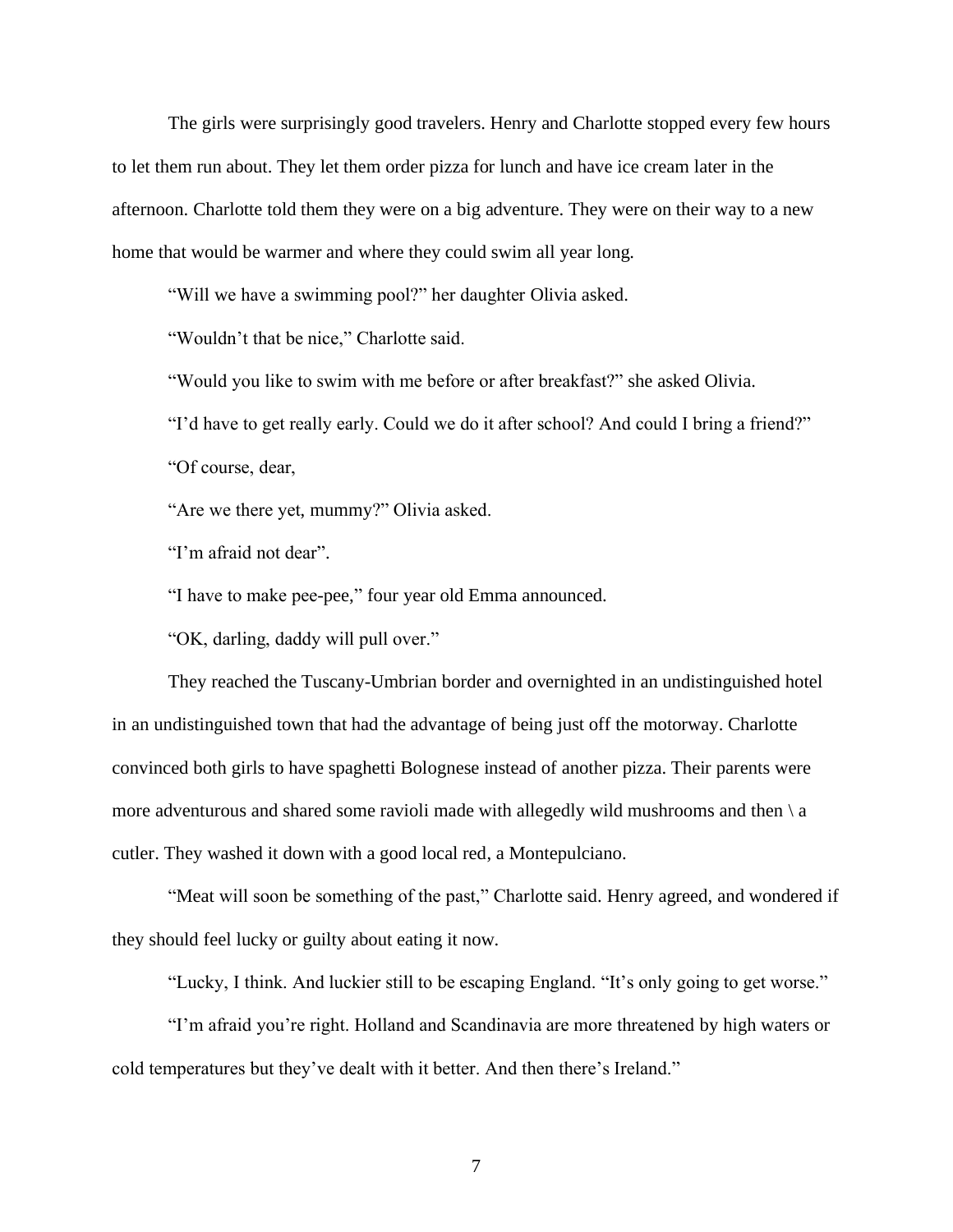The girls were surprisingly good travelers. Henry and Charlotte stopped every few hours to let them run about. They let them order pizza for lunch and have ice cream later in the afternoon. Charlotte told them they were on a big adventure. They were on their way to a new home that would be warmer and where they could swim all year long.

"Will we have a swimming pool?" her daughter Olivia asked.

"Wouldn't that be nice," Charlotte said.

"Would you like to swim with me before or after breakfast?" she asked Olivia.

"I'd have to get really early. Could we do it after school? And could I bring a friend?"

"Of course, dear,

"Are we there yet, mummy?" Olivia asked.

"I'm afraid not dear".

"I have to make pee-pee," four year old Emma announced.

"OK, darling, daddy will pull over."

They reached the Tuscany-Umbrian border and overnighted in an undistinguished hotel in an undistinguished town that had the advantage of being just off the motorway. Charlotte convinced both girls to have spaghetti Bolognese instead of another pizza. Their parents were more adventurous and shared some ravioli made with allegedly wild mushrooms and then  $\langle a \rangle$ cutler. They washed it down with a good local red, a Montepulciano.

"Meat will soon be something of the past," Charlotte said. Henry agreed, and wondered if they should feel lucky or guilty about eating it now.

"Lucky, I think. And luckier still to be escaping England. "It's only going to get worse."

"I'm afraid you're right. Holland and Scandinavia are more threatened by high waters or cold temperatures but they've dealt with it better. And then there's Ireland."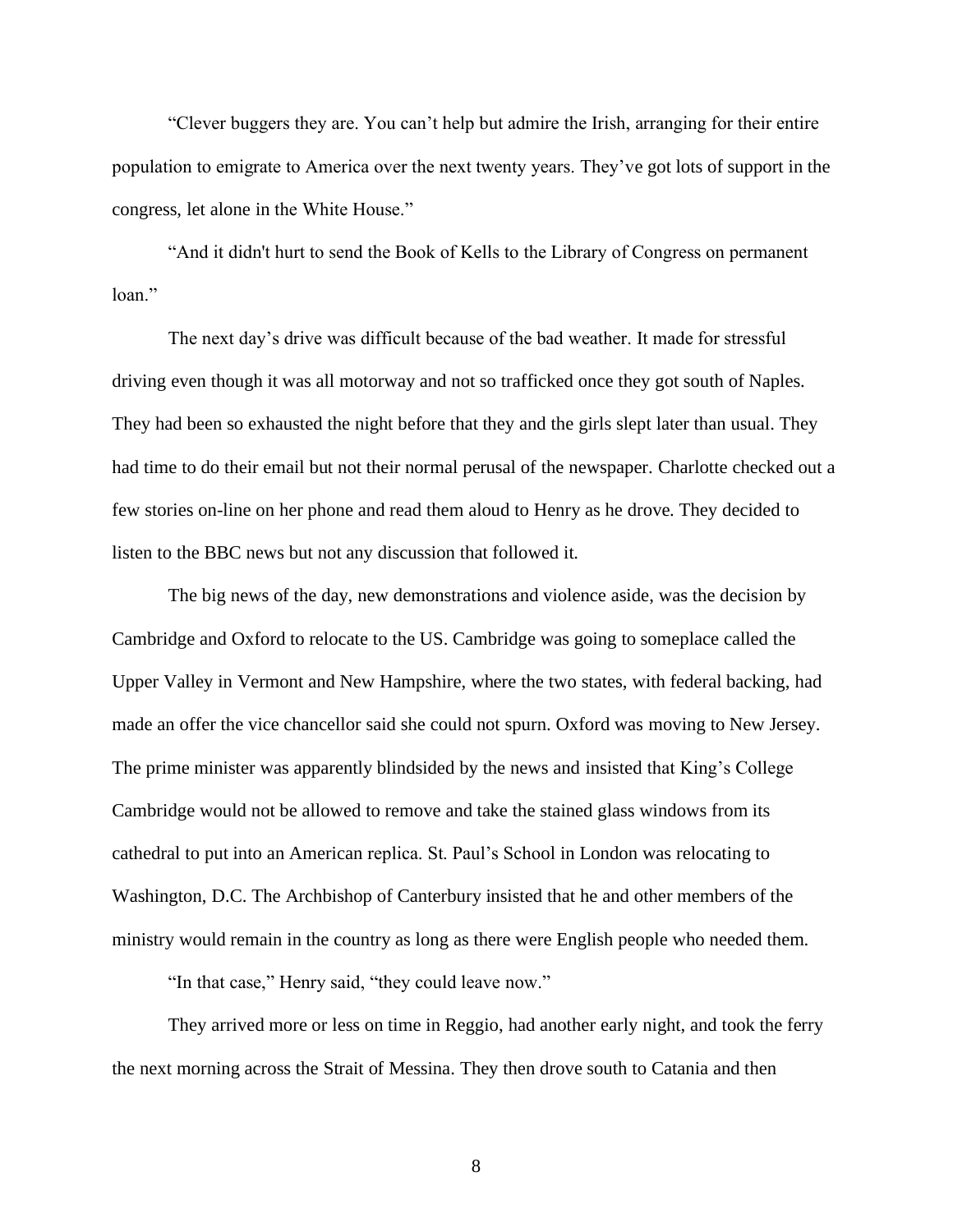"Clever buggers they are. You can't help but admire the Irish, arranging for their entire population to emigrate to America over the next twenty years. They've got lots of support in the congress, let alone in the White House."

"And it didn't hurt to send the Book of Kells to the Library of Congress on permanent loan."

The next day's drive was difficult because of the bad weather. It made for stressful driving even though it was all motorway and not so trafficked once they got south of Naples. They had been so exhausted the night before that they and the girls slept later than usual. They had time to do their email but not their normal perusal of the newspaper. Charlotte checked out a few stories on-line on her phone and read them aloud to Henry as he drove. They decided to listen to the BBC news but not any discussion that followed it.

The big news of the day, new demonstrations and violence aside, was the decision by Cambridge and Oxford to relocate to the US. Cambridge was going to someplace called the Upper Valley in Vermont and New Hampshire, where the two states, with federal backing, had made an offer the vice chancellor said she could not spurn. Oxford was moving to New Jersey. The prime minister was apparently blindsided by the news and insisted that King's College Cambridge would not be allowed to remove and take the stained glass windows from its cathedral to put into an American replica. St. Paul's School in London was relocating to Washington, D.C. The Archbishop of Canterbury insisted that he and other members of the ministry would remain in the country as long as there were English people who needed them.

"In that case," Henry said, "they could leave now."

They arrived more or less on time in Reggio, had another early night, and took the ferry the next morning across the Strait of Messina. They then drove south to Catania and then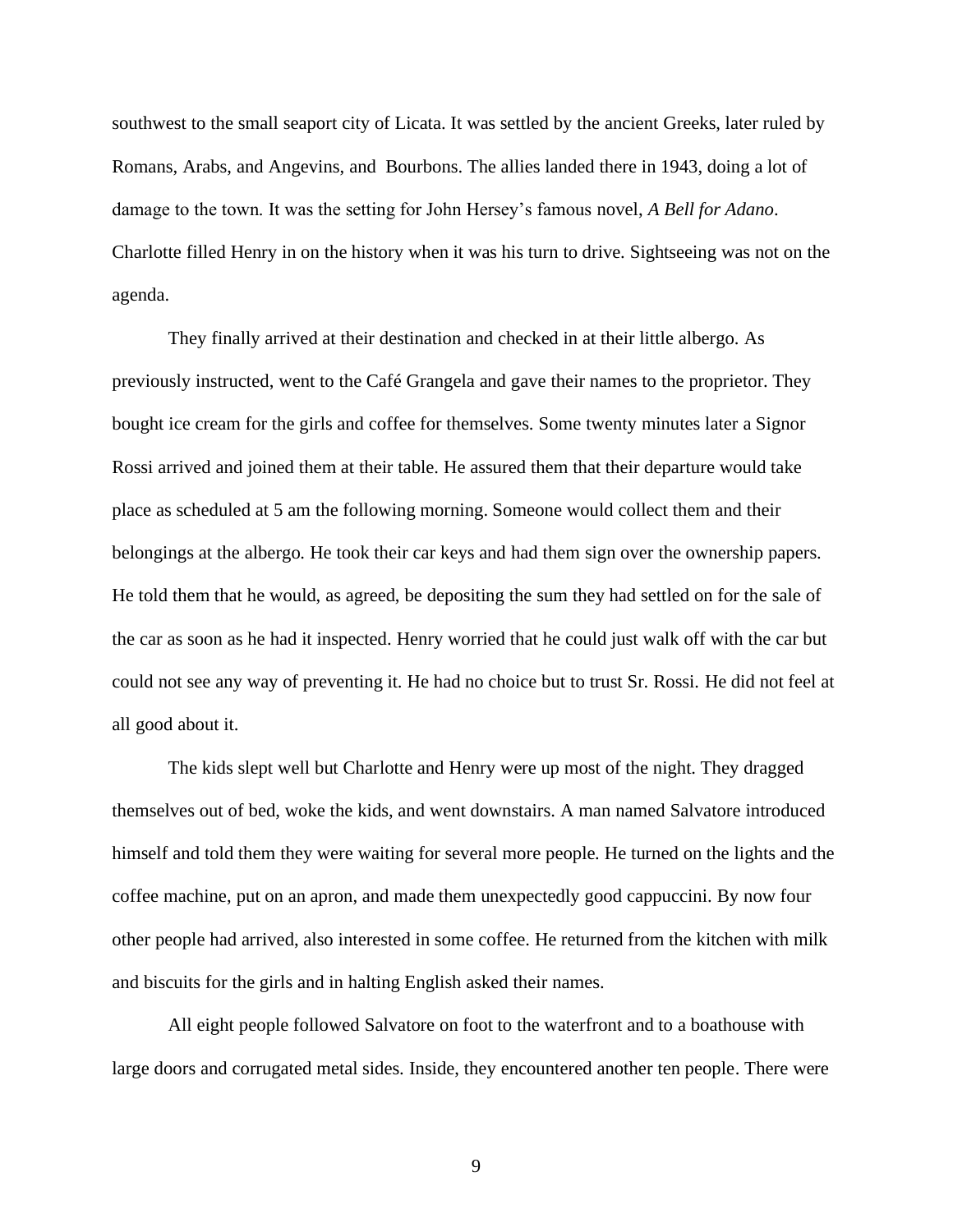southwest to the small seaport city of Licata. It was settled by the ancient Greeks, later ruled by Romans, Arabs, and Angevins, and Bourbons. The allies landed there in 1943, doing a lot of damage to the town. It was the setting for John Hersey's famous novel, *A Bell for Adano*. Charlotte filled Henry in on the history when it was his turn to drive. Sightseeing was not on the agenda.

They finally arrived at their destination and checked in at their little albergo. As previously instructed, went to the Café Grangela and gave their names to the proprietor. They bought ice cream for the girls and coffee for themselves. Some twenty minutes later a Signor Rossi arrived and joined them at their table. He assured them that their departure would take place as scheduled at 5 am the following morning. Someone would collect them and their belongings at the albergo. He took their car keys and had them sign over the ownership papers. He told them that he would, as agreed, be depositing the sum they had settled on for the sale of the car as soon as he had it inspected. Henry worried that he could just walk off with the car but could not see any way of preventing it. He had no choice but to trust Sr. Rossi. He did not feel at all good about it.

The kids slept well but Charlotte and Henry were up most of the night. They dragged themselves out of bed, woke the kids, and went downstairs. A man named Salvatore introduced himself and told them they were waiting for several more people. He turned on the lights and the coffee machine, put on an apron, and made them unexpectedly good cappuccini. By now four other people had arrived, also interested in some coffee. He returned from the kitchen with milk and biscuits for the girls and in halting English asked their names.

All eight people followed Salvatore on foot to the waterfront and to a boathouse with large doors and corrugated metal sides. Inside, they encountered another ten people. There were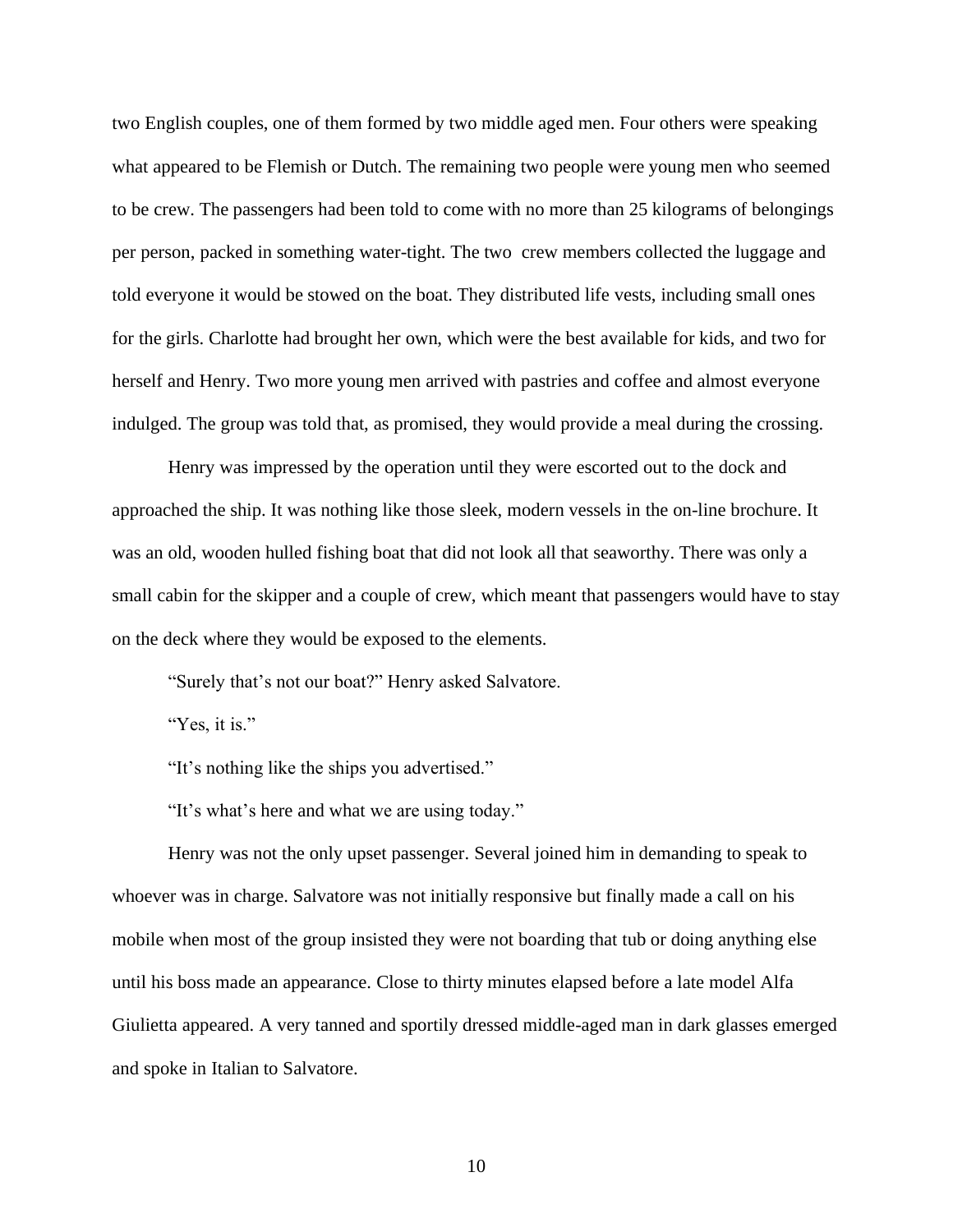two English couples, one of them formed by two middle aged men. Four others were speaking what appeared to be Flemish or Dutch. The remaining two people were young men who seemed to be crew. The passengers had been told to come with no more than 25 kilograms of belongings per person, packed in something water-tight. The two crew members collected the luggage and told everyone it would be stowed on the boat. They distributed life vests, including small ones for the girls. Charlotte had brought her own, which were the best available for kids, and two for herself and Henry. Two more young men arrived with pastries and coffee and almost everyone indulged. The group was told that, as promised, they would provide a meal during the crossing.

Henry was impressed by the operation until they were escorted out to the dock and approached the ship. It was nothing like those sleek, modern vessels in the on-line brochure. It was an old, wooden hulled fishing boat that did not look all that seaworthy. There was only a small cabin for the skipper and a couple of crew, which meant that passengers would have to stay on the deck where they would be exposed to the elements.

"Surely that's not our boat?" Henry asked Salvatore.

"Yes, it is."

"It's nothing like the ships you advertised."

"It's what's here and what we are using today."

Henry was not the only upset passenger. Several joined him in demanding to speak to whoever was in charge. Salvatore was not initially responsive but finally made a call on his mobile when most of the group insisted they were not boarding that tub or doing anything else until his boss made an appearance. Close to thirty minutes elapsed before a late model Alfa Giulietta appeared. A very tanned and sportily dressed middle-aged man in dark glasses emerged and spoke in Italian to Salvatore.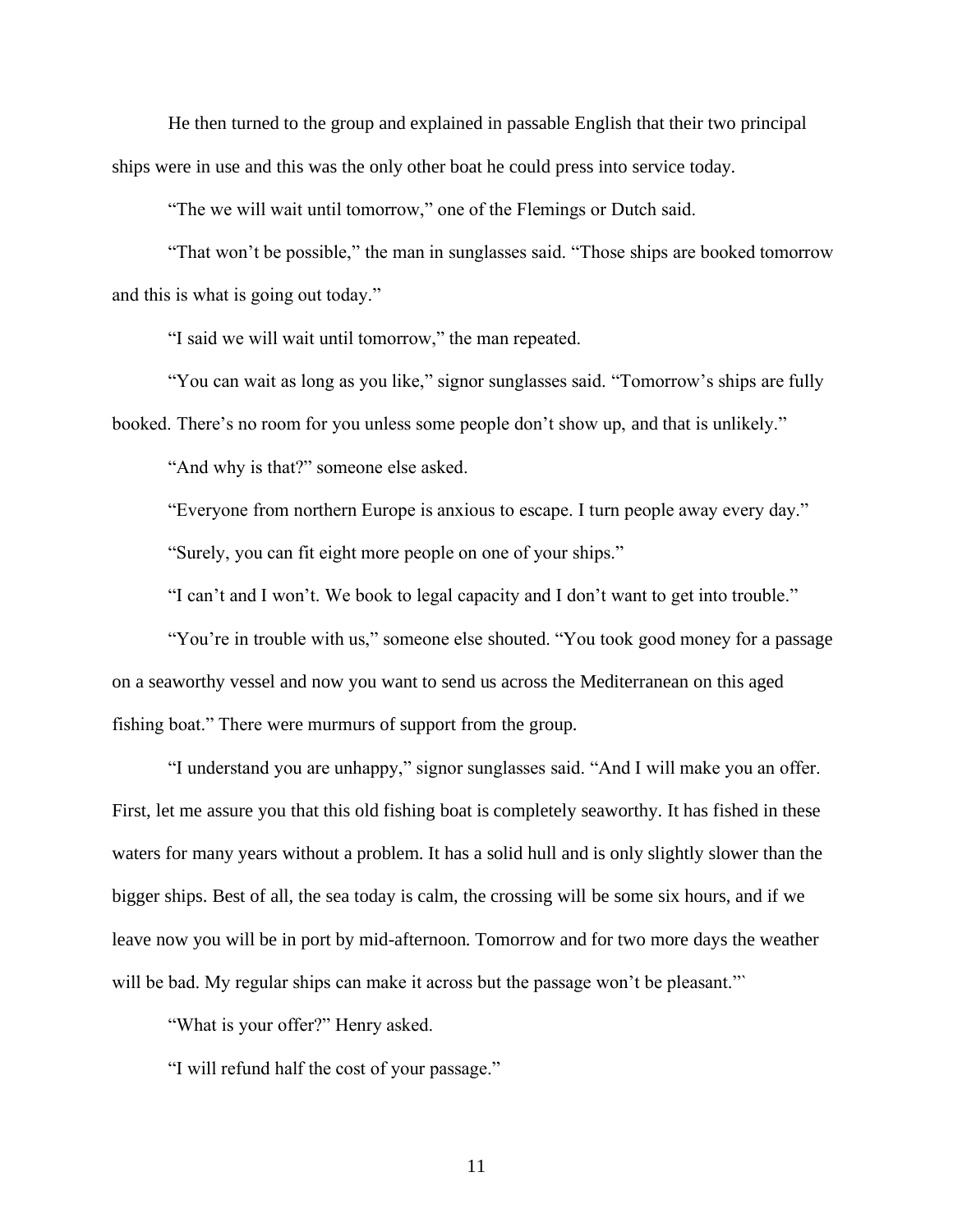He then turned to the group and explained in passable English that their two principal ships were in use and this was the only other boat he could press into service today.

"The we will wait until tomorrow," one of the Flemings or Dutch said.

"That won't be possible," the man in sunglasses said. "Those ships are booked tomorrow and this is what is going out today."

"I said we will wait until tomorrow," the man repeated.

"You can wait as long as you like," signor sunglasses said. "Tomorrow's ships are fully booked. There's no room for you unless some people don't show up, and that is unlikely."

"And why is that?" someone else asked.

"Everyone from northern Europe is anxious to escape. I turn people away every day."

"Surely, you can fit eight more people on one of your ships."

"I can't and I won't. We book to legal capacity and I don't want to get into trouble."

"You're in trouble with us," someone else shouted. "You took good money for a passage on a seaworthy vessel and now you want to send us across the Mediterranean on this aged fishing boat." There were murmurs of support from the group.

"I understand you are unhappy," signor sunglasses said. "And I will make you an offer. First, let me assure you that this old fishing boat is completely seaworthy. It has fished in these waters for many years without a problem. It has a solid hull and is only slightly slower than the bigger ships. Best of all, the sea today is calm, the crossing will be some six hours, and if we leave now you will be in port by mid-afternoon. Tomorrow and for two more days the weather will be bad. My regular ships can make it across but the passage won't be pleasant."

"What is your offer?" Henry asked.

"I will refund half the cost of your passage."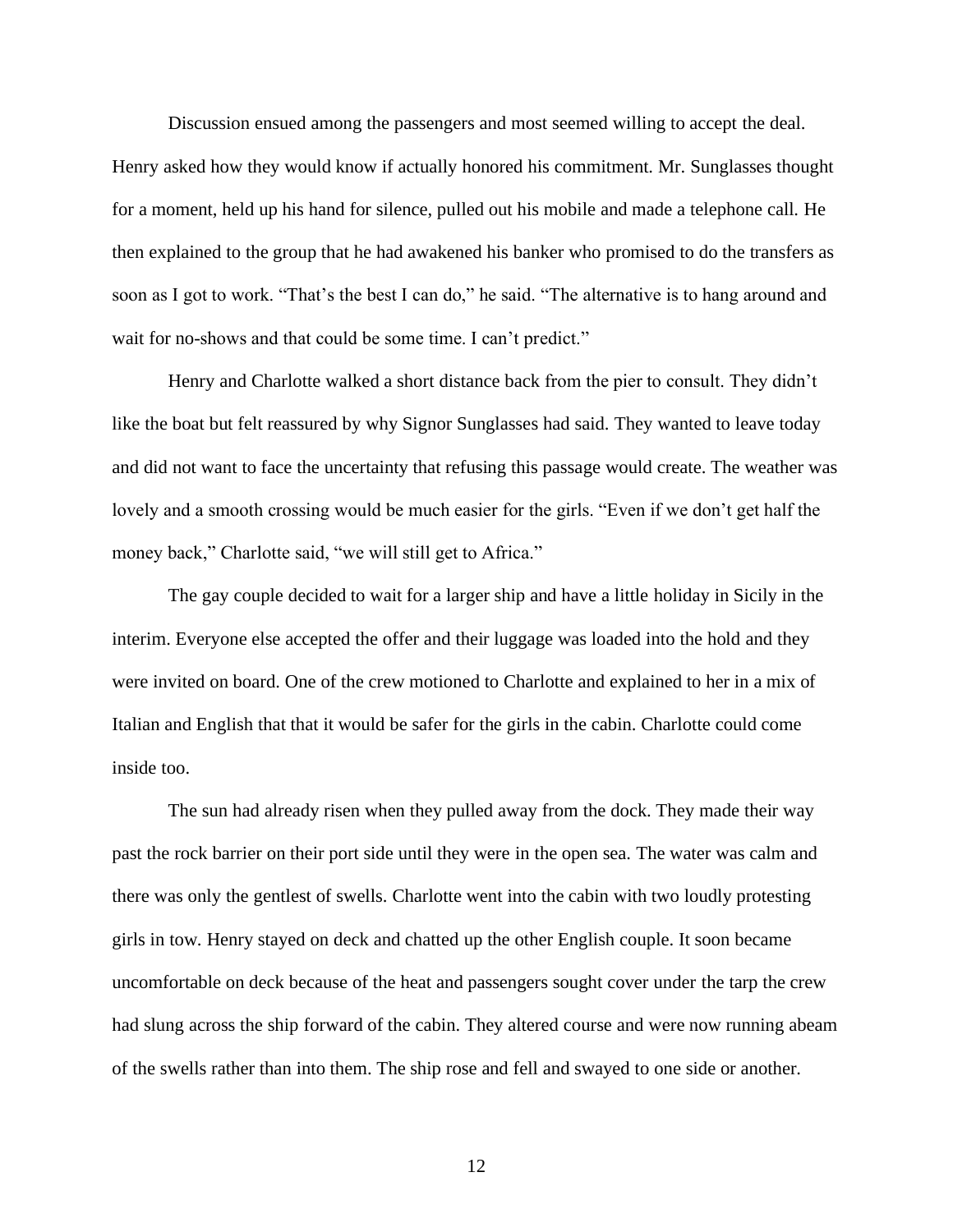Discussion ensued among the passengers and most seemed willing to accept the deal.

Henry asked how they would know if actually honored his commitment. Mr. Sunglasses thought for a moment, held up his hand for silence, pulled out his mobile and made a telephone call. He then explained to the group that he had awakened his banker who promised to do the transfers as soon as I got to work. "That's the best I can do," he said. "The alternative is to hang around and wait for no-shows and that could be some time. I can't predict."

Henry and Charlotte walked a short distance back from the pier to consult. They didn't like the boat but felt reassured by why Signor Sunglasses had said. They wanted to leave today and did not want to face the uncertainty that refusing this passage would create. The weather was lovely and a smooth crossing would be much easier for the girls. "Even if we don't get half the money back," Charlotte said, "we will still get to Africa."

The gay couple decided to wait for a larger ship and have a little holiday in Sicily in the interim. Everyone else accepted the offer and their luggage was loaded into the hold and they were invited on board. One of the crew motioned to Charlotte and explained to her in a mix of Italian and English that that it would be safer for the girls in the cabin. Charlotte could come inside too.

The sun had already risen when they pulled away from the dock. They made their way past the rock barrier on their port side until they were in the open sea. The water was calm and there was only the gentlest of swells. Charlotte went into the cabin with two loudly protesting girls in tow. Henry stayed on deck and chatted up the other English couple. It soon became uncomfortable on deck because of the heat and passengers sought cover under the tarp the crew had slung across the ship forward of the cabin. They altered course and were now running abeam of the swells rather than into them. The ship rose and fell and swayed to one side or another.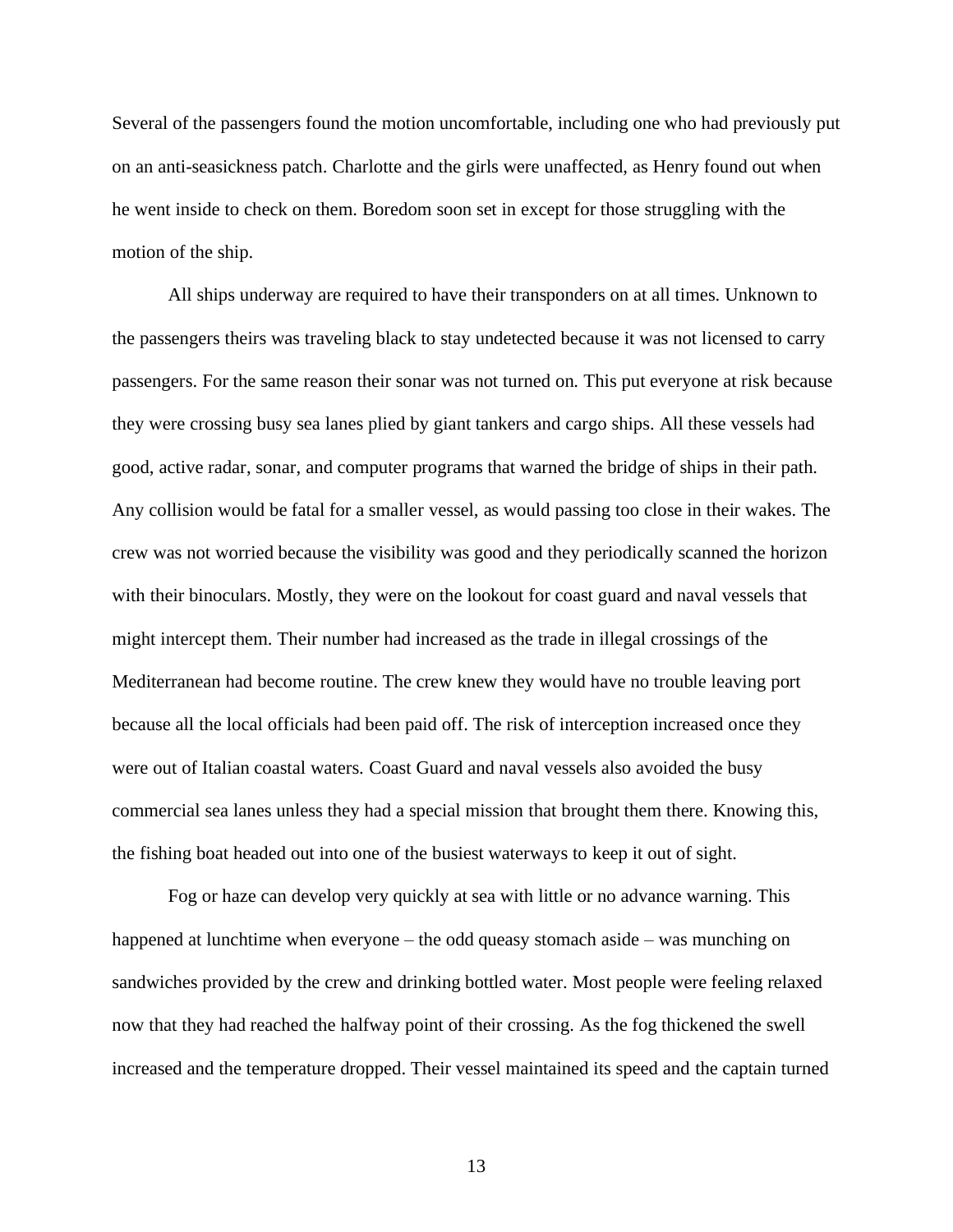Several of the passengers found the motion uncomfortable, including one who had previously put on an anti-seasickness patch. Charlotte and the girls were unaffected, as Henry found out when he went inside to check on them. Boredom soon set in except for those struggling with the motion of the ship.

All ships underway are required to have their transponders on at all times. Unknown to the passengers theirs was traveling black to stay undetected because it was not licensed to carry passengers. For the same reason their sonar was not turned on. This put everyone at risk because they were crossing busy sea lanes plied by giant tankers and cargo ships. All these vessels had good, active radar, sonar, and computer programs that warned the bridge of ships in their path. Any collision would be fatal for a smaller vessel, as would passing too close in their wakes. The crew was not worried because the visibility was good and they periodically scanned the horizon with their binoculars. Mostly, they were on the lookout for coast guard and naval vessels that might intercept them. Their number had increased as the trade in illegal crossings of the Mediterranean had become routine. The crew knew they would have no trouble leaving port because all the local officials had been paid off. The risk of interception increased once they were out of Italian coastal waters. Coast Guard and naval vessels also avoided the busy commercial sea lanes unless they had a special mission that brought them there. Knowing this, the fishing boat headed out into one of the busiest waterways to keep it out of sight.

Fog or haze can develop very quickly at sea with little or no advance warning. This happened at lunchtime when everyone – the odd queasy stomach aside – was munching on sandwiches provided by the crew and drinking bottled water. Most people were feeling relaxed now that they had reached the halfway point of their crossing. As the fog thickened the swell increased and the temperature dropped. Their vessel maintained its speed and the captain turned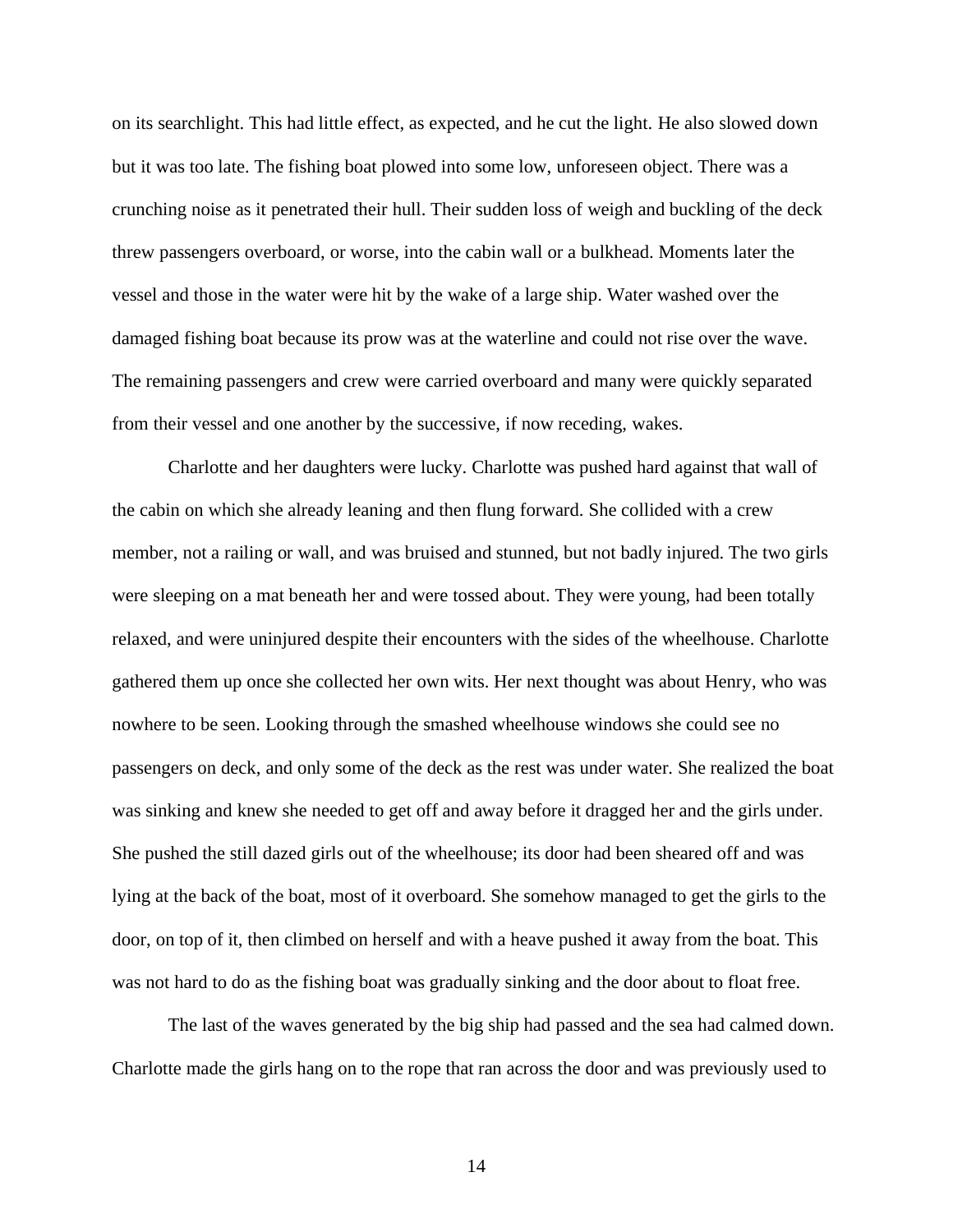on its searchlight. This had little effect, as expected, and he cut the light. He also slowed down but it was too late. The fishing boat plowed into some low, unforeseen object. There was a crunching noise as it penetrated their hull. Their sudden loss of weigh and buckling of the deck threw passengers overboard, or worse, into the cabin wall or a bulkhead. Moments later the vessel and those in the water were hit by the wake of a large ship. Water washed over the damaged fishing boat because its prow was at the waterline and could not rise over the wave. The remaining passengers and crew were carried overboard and many were quickly separated from their vessel and one another by the successive, if now receding, wakes.

Charlotte and her daughters were lucky. Charlotte was pushed hard against that wall of the cabin on which she already leaning and then flung forward. She collided with a crew member, not a railing or wall, and was bruised and stunned, but not badly injured. The two girls were sleeping on a mat beneath her and were tossed about. They were young, had been totally relaxed, and were uninjured despite their encounters with the sides of the wheelhouse. Charlotte gathered them up once she collected her own wits. Her next thought was about Henry, who was nowhere to be seen. Looking through the smashed wheelhouse windows she could see no passengers on deck, and only some of the deck as the rest was under water. She realized the boat was sinking and knew she needed to get off and away before it dragged her and the girls under. She pushed the still dazed girls out of the wheelhouse; its door had been sheared off and was lying at the back of the boat, most of it overboard. She somehow managed to get the girls to the door, on top of it, then climbed on herself and with a heave pushed it away from the boat. This was not hard to do as the fishing boat was gradually sinking and the door about to float free.

The last of the waves generated by the big ship had passed and the sea had calmed down. Charlotte made the girls hang on to the rope that ran across the door and was previously used to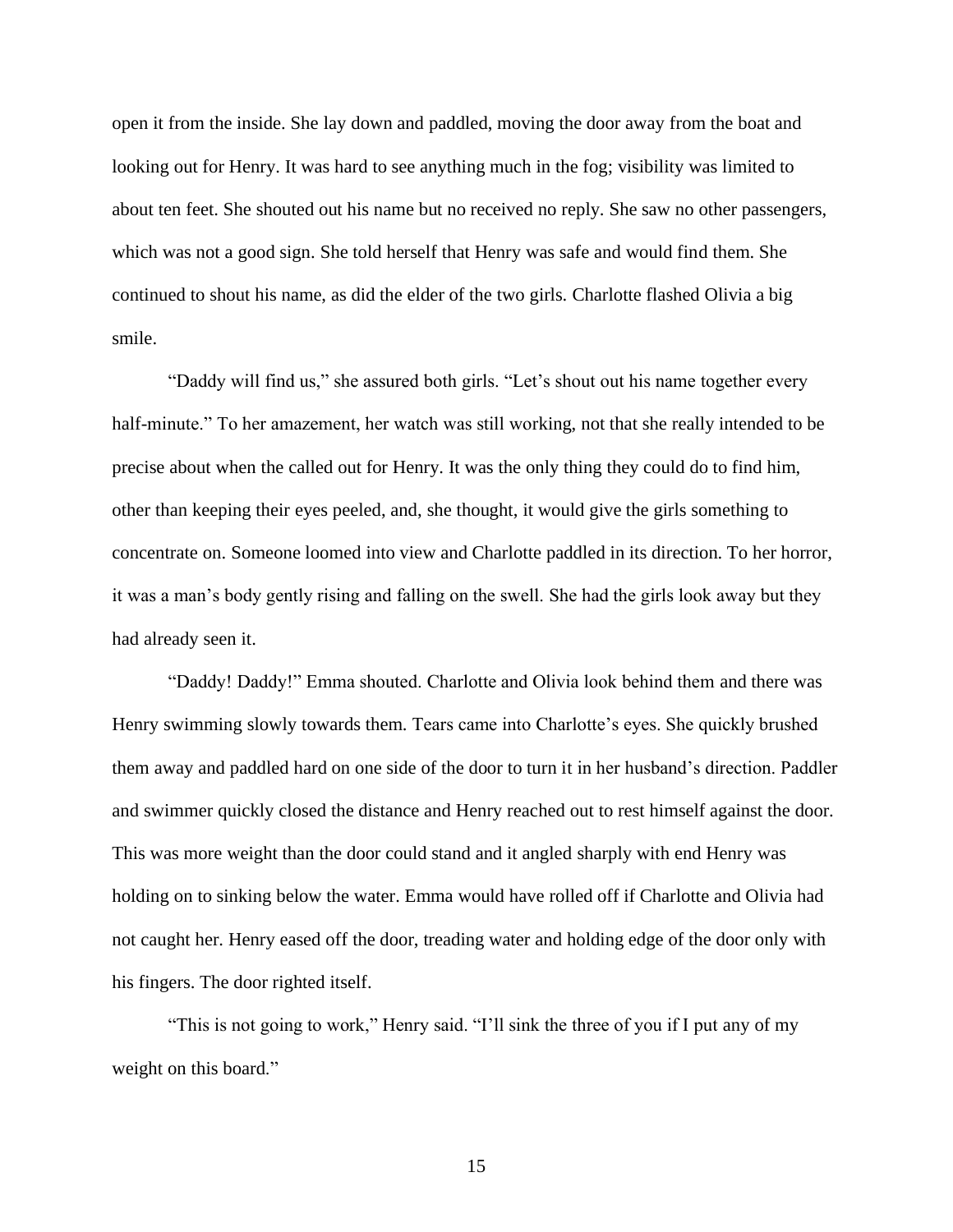open it from the inside. She lay down and paddled, moving the door away from the boat and looking out for Henry. It was hard to see anything much in the fog; visibility was limited to about ten feet. She shouted out his name but no received no reply. She saw no other passengers, which was not a good sign. She told herself that Henry was safe and would find them. She continued to shout his name, as did the elder of the two girls. Charlotte flashed Olivia a big smile.

"Daddy will find us," she assured both girls. "Let's shout out his name together every half-minute." To her amazement, her watch was still working, not that she really intended to be precise about when the called out for Henry. It was the only thing they could do to find him, other than keeping their eyes peeled, and, she thought, it would give the girls something to concentrate on. Someone loomed into view and Charlotte paddled in its direction. To her horror, it was a man's body gently rising and falling on the swell. She had the girls look away but they had already seen it.

"Daddy! Daddy!" Emma shouted. Charlotte and Olivia look behind them and there was Henry swimming slowly towards them. Tears came into Charlotte's eyes. She quickly brushed them away and paddled hard on one side of the door to turn it in her husband's direction. Paddler and swimmer quickly closed the distance and Henry reached out to rest himself against the door. This was more weight than the door could stand and it angled sharply with end Henry was holding on to sinking below the water. Emma would have rolled off if Charlotte and Olivia had not caught her. Henry eased off the door, treading water and holding edge of the door only with his fingers. The door righted itself.

"This is not going to work," Henry said. "I'll sink the three of you if I put any of my weight on this board."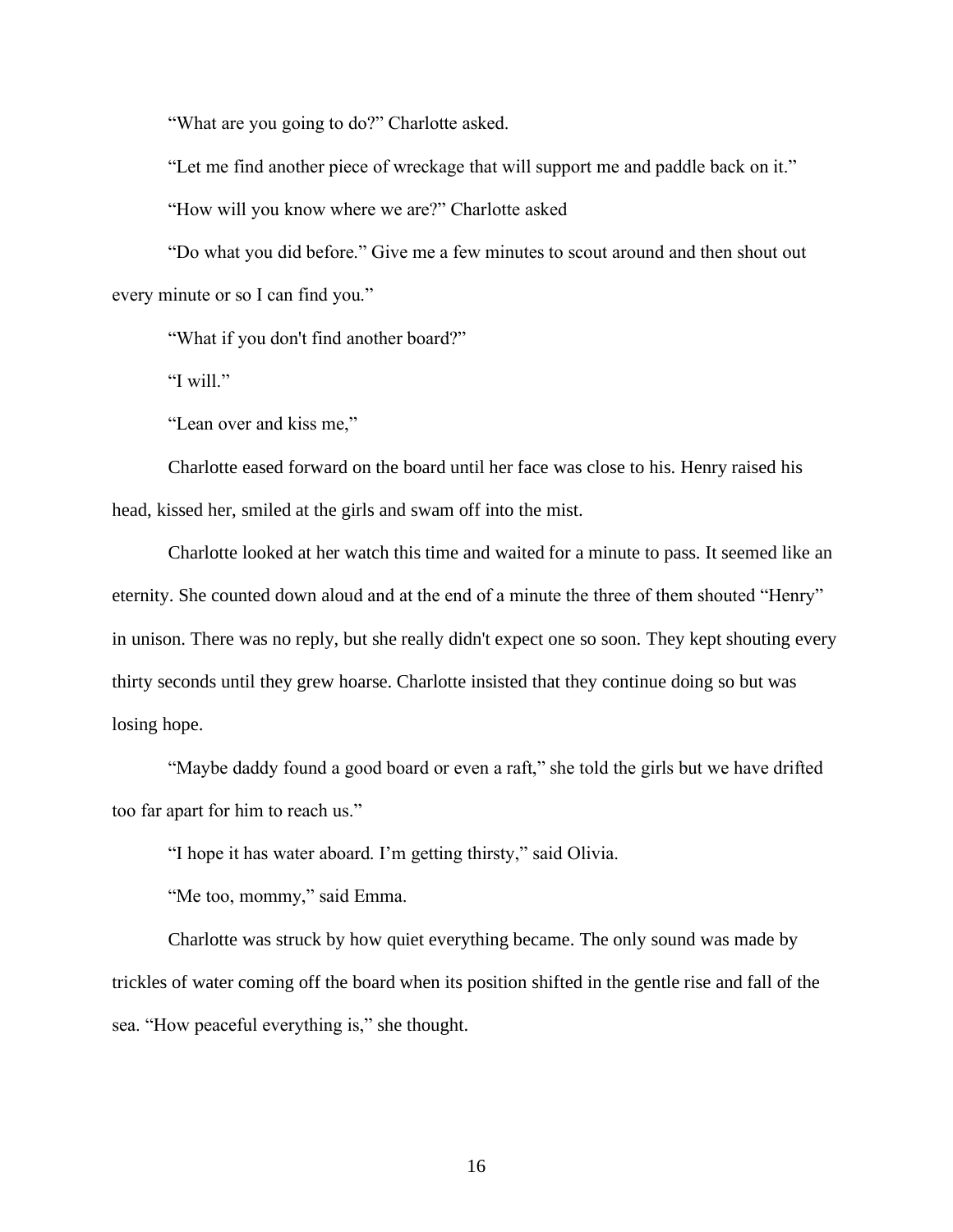"What are you going to do?" Charlotte asked.

"Let me find another piece of wreckage that will support me and paddle back on it."

"How will you know where we are?" Charlotte asked

"Do what you did before." Give me a few minutes to scout around and then shout out every minute or so I can find you."

"What if you don't find another board?"

"I will."

"Lean over and kiss me,"

Charlotte eased forward on the board until her face was close to his. Henry raised his head, kissed her, smiled at the girls and swam off into the mist.

Charlotte looked at her watch this time and waited for a minute to pass. It seemed like an eternity. She counted down aloud and at the end of a minute the three of them shouted "Henry" in unison. There was no reply, but she really didn't expect one so soon. They kept shouting every thirty seconds until they grew hoarse. Charlotte insisted that they continue doing so but was losing hope.

"Maybe daddy found a good board or even a raft," she told the girls but we have drifted too far apart for him to reach us."

"I hope it has water aboard. I'm getting thirsty," said Olivia.

"Me too, mommy," said Emma.

Charlotte was struck by how quiet everything became. The only sound was made by trickles of water coming off the board when its position shifted in the gentle rise and fall of the sea. "How peaceful everything is," she thought.